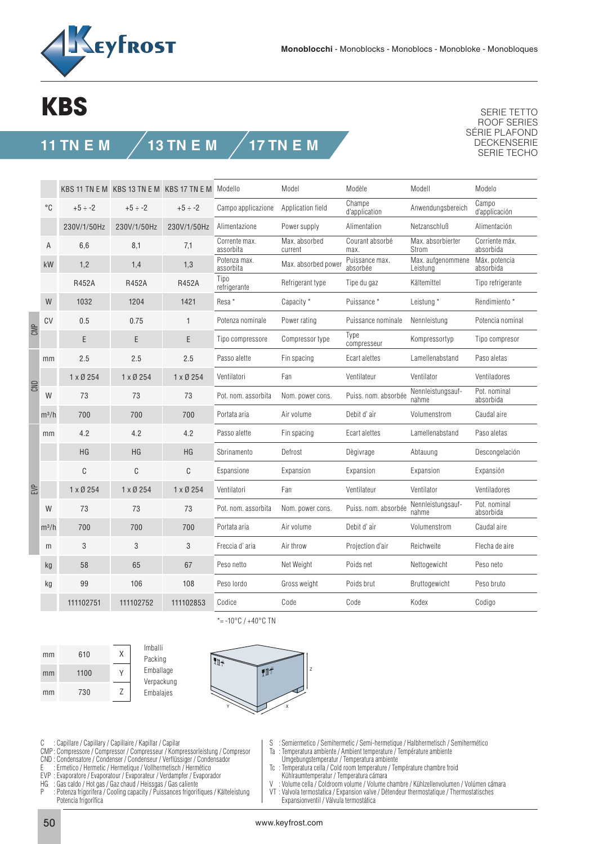

## **KBS**

## **11 TN E M 13 TN E M 17 TN E M**

SERIE TETTO ROOF SERIES SÉRIE PLAFOND DECKENSERIE SERIE TECHO

| Champe<br>Campo<br>°C<br>Campo applicazione<br>Application field<br>Anwendungsbereich<br>$+5 \div -2$<br>$+5 \div -2$<br>$+5 \div -2$<br>d'application<br>230V/1/50Hz<br>Alimentazione<br>Power supply<br>Alimentation<br>Netzanschluß<br>230V/1/50Hz<br>230V/1/50Hz<br>Max. absorbierter<br>Corrente max.<br>Max. absorbed<br>Courant absorbé<br>6,6<br>A<br>8,1<br>7,1<br>assorbita<br>absorbida<br>Strom<br>current<br>max.<br>Puissance max.<br>Potenza max.<br>Max. aufgenommene<br>1,2<br>1,3<br>Max. absorbed power<br>kW<br>1,4<br>absorbée<br>assorbita<br>Leistung<br>absorbida<br>Tipo<br><b>R452A</b><br>Kältemittel<br><b>R452A</b><br><b>R452A</b><br>Refrigerant type<br>Tipe du gaz<br>refrigerante<br>1421<br>Resa <sup>*</sup><br>Capacity *<br>Puissance*<br>W<br>1032<br>1204<br>Leistung *<br>0.5<br>Power rating<br>Nennleistung<br>CV<br>0.75<br>Potenza nominale<br>Puissance nominale<br>$\mathbf{1}$<br>CMP<br>Type<br>E<br>E<br>E<br>Tipo compressore<br>Compressor type<br>Kompressortyp<br>compresseur<br>2.5<br>2.5<br>2.5<br>Passo alette<br>Ecart alettes<br>Lamellenabstand<br>Paso aletas<br>Fin spacing<br>mm<br>Ventilateur<br>1 x Ø 254<br>1 x Ø 254<br>Ventilatori<br>Fan<br>Ventilator<br>$1 \times 0254$<br>CND<br>Nennleistungsauf-<br>Puiss. nom. absorbée<br>W<br>73<br>73<br>73<br>Pot. nom. assorbita<br>Nom. power cons.<br>absorbida<br>nahme<br>700<br>Caudal aire<br>700<br>700<br>Air volume<br>Debit d'air<br>Volumenstrom<br>Portata aria<br>$m^3/h$<br>Lamellenabstand<br>Paso aletas<br>4.2<br>4.2<br>4.2<br>Passo alette<br>Fin spacing<br>Ecart alettes<br>mm<br><b>HG</b><br>HG<br>HG<br>Defrost<br>Sbrinamento<br>Dègivrage<br>Abtauung<br>C<br>C<br>C<br>Espansione<br>Expansion<br>Expansion<br>Expansion<br>Expansión<br>EVP<br>1 x Ø 254<br>Ventilateur<br>Ventilator<br>1 x Ø 254<br>1 x Ø 254<br>Ventilatori<br>Fan<br>Nennleistungsauf-<br>W<br>73<br>73<br>73<br>Puiss. nom. absorbée<br>Pot. nom. assorbita<br>Nom. power cons.<br>nahme<br>absorbida<br>700<br>700<br>700<br>Debit d'air<br>Volumenstrom<br>Caudal aire<br>Portata aria<br>Air volume<br>$m^3/h$<br>Freccia d'aria<br>Air throw<br>Projection d'air<br>Reichweite<br>3<br>3<br>3<br>m<br>58<br>65<br>67<br>Net Weight<br>Poids net<br>Peso neto<br>Peso netto<br>Nettogewicht<br>kg<br>99<br>106<br>108<br>Peso lordo<br>Gross weight<br>Poids brut<br>Bruttogewicht<br>Peso bruto<br>kg |  |  | KBS 11 TN E M KBS 13 TN E M KBS 17 TN E M Modello |  | Model | Modèle | Modell | Modelo            |  |
|------------------------------------------------------------------------------------------------------------------------------------------------------------------------------------------------------------------------------------------------------------------------------------------------------------------------------------------------------------------------------------------------------------------------------------------------------------------------------------------------------------------------------------------------------------------------------------------------------------------------------------------------------------------------------------------------------------------------------------------------------------------------------------------------------------------------------------------------------------------------------------------------------------------------------------------------------------------------------------------------------------------------------------------------------------------------------------------------------------------------------------------------------------------------------------------------------------------------------------------------------------------------------------------------------------------------------------------------------------------------------------------------------------------------------------------------------------------------------------------------------------------------------------------------------------------------------------------------------------------------------------------------------------------------------------------------------------------------------------------------------------------------------------------------------------------------------------------------------------------------------------------------------------------------------------------------------------------------------------------------------------------------------------------------------------------------------------------------------------------------------------------------------------------------------------------------------------------------------------------------------------------------------------------------------------------------------------------------------------------------------------------------------------------------------|--|--|---------------------------------------------------|--|-------|--------|--------|-------------------|--|
|                                                                                                                                                                                                                                                                                                                                                                                                                                                                                                                                                                                                                                                                                                                                                                                                                                                                                                                                                                                                                                                                                                                                                                                                                                                                                                                                                                                                                                                                                                                                                                                                                                                                                                                                                                                                                                                                                                                                                                                                                                                                                                                                                                                                                                                                                                                                                                                                                              |  |  |                                                   |  |       |        |        | d'applicación     |  |
|                                                                                                                                                                                                                                                                                                                                                                                                                                                                                                                                                                                                                                                                                                                                                                                                                                                                                                                                                                                                                                                                                                                                                                                                                                                                                                                                                                                                                                                                                                                                                                                                                                                                                                                                                                                                                                                                                                                                                                                                                                                                                                                                                                                                                                                                                                                                                                                                                              |  |  |                                                   |  |       |        |        | Alimentación      |  |
|                                                                                                                                                                                                                                                                                                                                                                                                                                                                                                                                                                                                                                                                                                                                                                                                                                                                                                                                                                                                                                                                                                                                                                                                                                                                                                                                                                                                                                                                                                                                                                                                                                                                                                                                                                                                                                                                                                                                                                                                                                                                                                                                                                                                                                                                                                                                                                                                                              |  |  |                                                   |  |       |        |        | Corriente máx.    |  |
|                                                                                                                                                                                                                                                                                                                                                                                                                                                                                                                                                                                                                                                                                                                                                                                                                                                                                                                                                                                                                                                                                                                                                                                                                                                                                                                                                                                                                                                                                                                                                                                                                                                                                                                                                                                                                                                                                                                                                                                                                                                                                                                                                                                                                                                                                                                                                                                                                              |  |  |                                                   |  |       |        |        | Máx. potencia     |  |
|                                                                                                                                                                                                                                                                                                                                                                                                                                                                                                                                                                                                                                                                                                                                                                                                                                                                                                                                                                                                                                                                                                                                                                                                                                                                                                                                                                                                                                                                                                                                                                                                                                                                                                                                                                                                                                                                                                                                                                                                                                                                                                                                                                                                                                                                                                                                                                                                                              |  |  |                                                   |  |       |        |        | Tipo refrigerante |  |
|                                                                                                                                                                                                                                                                                                                                                                                                                                                                                                                                                                                                                                                                                                                                                                                                                                                                                                                                                                                                                                                                                                                                                                                                                                                                                                                                                                                                                                                                                                                                                                                                                                                                                                                                                                                                                                                                                                                                                                                                                                                                                                                                                                                                                                                                                                                                                                                                                              |  |  |                                                   |  |       |        |        | Rendimiento *     |  |
|                                                                                                                                                                                                                                                                                                                                                                                                                                                                                                                                                                                                                                                                                                                                                                                                                                                                                                                                                                                                                                                                                                                                                                                                                                                                                                                                                                                                                                                                                                                                                                                                                                                                                                                                                                                                                                                                                                                                                                                                                                                                                                                                                                                                                                                                                                                                                                                                                              |  |  |                                                   |  |       |        |        | Potencia nominal  |  |
|                                                                                                                                                                                                                                                                                                                                                                                                                                                                                                                                                                                                                                                                                                                                                                                                                                                                                                                                                                                                                                                                                                                                                                                                                                                                                                                                                                                                                                                                                                                                                                                                                                                                                                                                                                                                                                                                                                                                                                                                                                                                                                                                                                                                                                                                                                                                                                                                                              |  |  |                                                   |  |       |        |        | Tipo compresor    |  |
|                                                                                                                                                                                                                                                                                                                                                                                                                                                                                                                                                                                                                                                                                                                                                                                                                                                                                                                                                                                                                                                                                                                                                                                                                                                                                                                                                                                                                                                                                                                                                                                                                                                                                                                                                                                                                                                                                                                                                                                                                                                                                                                                                                                                                                                                                                                                                                                                                              |  |  |                                                   |  |       |        |        |                   |  |
|                                                                                                                                                                                                                                                                                                                                                                                                                                                                                                                                                                                                                                                                                                                                                                                                                                                                                                                                                                                                                                                                                                                                                                                                                                                                                                                                                                                                                                                                                                                                                                                                                                                                                                                                                                                                                                                                                                                                                                                                                                                                                                                                                                                                                                                                                                                                                                                                                              |  |  |                                                   |  |       |        |        | Ventiladores      |  |
|                                                                                                                                                                                                                                                                                                                                                                                                                                                                                                                                                                                                                                                                                                                                                                                                                                                                                                                                                                                                                                                                                                                                                                                                                                                                                                                                                                                                                                                                                                                                                                                                                                                                                                                                                                                                                                                                                                                                                                                                                                                                                                                                                                                                                                                                                                                                                                                                                              |  |  |                                                   |  |       |        |        | Pot. nominal      |  |
|                                                                                                                                                                                                                                                                                                                                                                                                                                                                                                                                                                                                                                                                                                                                                                                                                                                                                                                                                                                                                                                                                                                                                                                                                                                                                                                                                                                                                                                                                                                                                                                                                                                                                                                                                                                                                                                                                                                                                                                                                                                                                                                                                                                                                                                                                                                                                                                                                              |  |  |                                                   |  |       |        |        |                   |  |
|                                                                                                                                                                                                                                                                                                                                                                                                                                                                                                                                                                                                                                                                                                                                                                                                                                                                                                                                                                                                                                                                                                                                                                                                                                                                                                                                                                                                                                                                                                                                                                                                                                                                                                                                                                                                                                                                                                                                                                                                                                                                                                                                                                                                                                                                                                                                                                                                                              |  |  |                                                   |  |       |        |        |                   |  |
|                                                                                                                                                                                                                                                                                                                                                                                                                                                                                                                                                                                                                                                                                                                                                                                                                                                                                                                                                                                                                                                                                                                                                                                                                                                                                                                                                                                                                                                                                                                                                                                                                                                                                                                                                                                                                                                                                                                                                                                                                                                                                                                                                                                                                                                                                                                                                                                                                              |  |  |                                                   |  |       |        |        | Descongelación    |  |
|                                                                                                                                                                                                                                                                                                                                                                                                                                                                                                                                                                                                                                                                                                                                                                                                                                                                                                                                                                                                                                                                                                                                                                                                                                                                                                                                                                                                                                                                                                                                                                                                                                                                                                                                                                                                                                                                                                                                                                                                                                                                                                                                                                                                                                                                                                                                                                                                                              |  |  |                                                   |  |       |        |        |                   |  |
|                                                                                                                                                                                                                                                                                                                                                                                                                                                                                                                                                                                                                                                                                                                                                                                                                                                                                                                                                                                                                                                                                                                                                                                                                                                                                                                                                                                                                                                                                                                                                                                                                                                                                                                                                                                                                                                                                                                                                                                                                                                                                                                                                                                                                                                                                                                                                                                                                              |  |  |                                                   |  |       |        |        | Ventiladores      |  |
|                                                                                                                                                                                                                                                                                                                                                                                                                                                                                                                                                                                                                                                                                                                                                                                                                                                                                                                                                                                                                                                                                                                                                                                                                                                                                                                                                                                                                                                                                                                                                                                                                                                                                                                                                                                                                                                                                                                                                                                                                                                                                                                                                                                                                                                                                                                                                                                                                              |  |  |                                                   |  |       |        |        | Pot. nominal      |  |
|                                                                                                                                                                                                                                                                                                                                                                                                                                                                                                                                                                                                                                                                                                                                                                                                                                                                                                                                                                                                                                                                                                                                                                                                                                                                                                                                                                                                                                                                                                                                                                                                                                                                                                                                                                                                                                                                                                                                                                                                                                                                                                                                                                                                                                                                                                                                                                                                                              |  |  |                                                   |  |       |        |        |                   |  |
|                                                                                                                                                                                                                                                                                                                                                                                                                                                                                                                                                                                                                                                                                                                                                                                                                                                                                                                                                                                                                                                                                                                                                                                                                                                                                                                                                                                                                                                                                                                                                                                                                                                                                                                                                                                                                                                                                                                                                                                                                                                                                                                                                                                                                                                                                                                                                                                                                              |  |  |                                                   |  |       |        |        | Flecha de aire    |  |
|                                                                                                                                                                                                                                                                                                                                                                                                                                                                                                                                                                                                                                                                                                                                                                                                                                                                                                                                                                                                                                                                                                                                                                                                                                                                                                                                                                                                                                                                                                                                                                                                                                                                                                                                                                                                                                                                                                                                                                                                                                                                                                                                                                                                                                                                                                                                                                                                                              |  |  |                                                   |  |       |        |        |                   |  |
|                                                                                                                                                                                                                                                                                                                                                                                                                                                                                                                                                                                                                                                                                                                                                                                                                                                                                                                                                                                                                                                                                                                                                                                                                                                                                                                                                                                                                                                                                                                                                                                                                                                                                                                                                                                                                                                                                                                                                                                                                                                                                                                                                                                                                                                                                                                                                                                                                              |  |  |                                                   |  |       |        |        |                   |  |
| Codice<br>Code<br>Code<br>Kodex<br>Codigo<br>111102751<br>111102752<br>111102853                                                                                                                                                                                                                                                                                                                                                                                                                                                                                                                                                                                                                                                                                                                                                                                                                                                                                                                                                                                                                                                                                                                                                                                                                                                                                                                                                                                                                                                                                                                                                                                                                                                                                                                                                                                                                                                                                                                                                                                                                                                                                                                                                                                                                                                                                                                                             |  |  |                                                   |  |       |        |        |                   |  |

610 1100 730 X Y Z mm mm mm





\*=  $-10\degree C$  /  $+40\degree C$  TN

C : Capillare / Capillary / Capillaire / Kapillar / Capilar

- CMP : Compressore / Compressor / Compresseur / Kompressorleistung / Compresor
- CND : Condensatore / Condenser / Condenseur / Verflüssiger / Condensador
- E : Ermetico / Hermetic / Hermetique / Vollhermetisch / Hermético
- EVP : Evaporatore / Evaporatour / Evaporateur / Verdampfer / Evaporador
- HG : Gas caldo / Hot gas / Gaz chaud / Heissgas / Gas caliente
- : Potenza frigorifera / Cooling capacity / Puissances frigorifiques / Kälteleistung Potencia frigorífica
- S : Semiermetico / Semihermetic / Semi-hermetique / Halbhermetisch / Semihermético
- Ta : Temperatura ambiente / Ambient temperature / Température ambiente
- Umgebungstemperatur / Temperatura ambiente
- Tc : Temperatura cella / Cold room temperature / Température chambre froid Kühlraumtemperatur / Temperatura cámara<br>V · Volume cella / Coldroom volume / Volume (
- Volume cella / Coldroom volume / Volume chambre / Kühlzellenvolumen / Volúmen cámara
- VT : Valvola termostatica / Expansion valve / Détendeur thermostatique / Thermostatisches Expansionventil / Válvula termostática